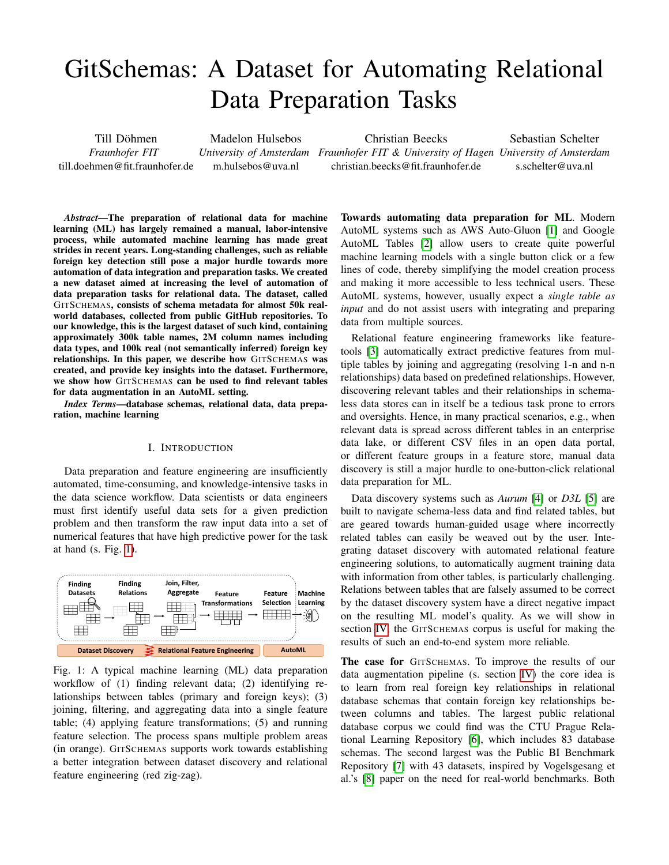# GitSchemas: A Dataset for Automating Relational Data Preparation Tasks

Till Döhmen *Fraunhofer FIT* till.doehmen@fit.fraunhofer.de

Madelon Hulsebos m.hulsebos@uva.nl

Christian Beecks

*University of Amsterdam Fraunhofer FIT & University of Hagen University of Amsterdam* christian.beecks@fit.fraunhofer.de

Sebastian Schelter s.schelter@uva.nl

*Abstract*—The preparation of relational data for machine learning (ML) has largely remained a manual, labor-intensive process, while automated machine learning has made great strides in recent years. Long-standing challenges, such as reliable foreign key detection still pose a major hurdle towards more automation of data integration and preparation tasks. We created a new dataset aimed at increasing the level of automation of data preparation tasks for relational data. The dataset, called GITSCHEMAS, consists of schema metadata for almost 50k realworld databases, collected from public GitHub repositories. To our knowledge, this is the largest dataset of such kind, containing approximately 300k table names, 2M column names including data types, and 100k real (not semantically inferred) foreign key relationships. In this paper, we describe how GITSCHEMAS was created, and provide key insights into the dataset. Furthermore, we show how GITSCHEMAS can be used to find relevant tables for data augmentation in an AutoML setting.

*Index Terms*—database schemas, relational data, data preparation, machine learning

## I. INTRODUCTION

<span id="page-0-1"></span>Data preparation and feature engineering are insufficiently automated, time-consuming, and knowledge-intensive tasks in the data science workflow. Data scientists or data engineers must first identify useful data sets for a given prediction problem and then transform the raw input data into a set of numerical features that have high predictive power for the task at hand (s. Fig. [1\)](#page-0-0).

<span id="page-0-0"></span>

Fig. 1: A typical machine learning (ML) data preparation workflow of (1) finding relevant data; (2) identifying relationships between tables (primary and foreign keys); (3) joining, filtering, and aggregating data into a single feature table; (4) applying feature transformations; (5) and running feature selection. The process spans multiple problem areas (in orange). GITSCHEMAS supports work towards establishing a better integration between dataset discovery and relational feature engineering (red zig-zag).

Towards automating data preparation for ML. Modern AutoML systems such as AWS Auto-Gluon [\[1\]](#page-4-0) and Google AutoML Tables [\[2\]](#page-4-1) allow users to create quite powerful machine learning models with a single button click or a few lines of code, thereby simplifying the model creation process and making it more accessible to less technical users. These AutoML systems, however, usually expect a *single table as input* and do not assist users with integrating and preparing data from multiple sources.

Relational feature engineering frameworks like featuretools [\[3\]](#page-4-2) automatically extract predictive features from multiple tables by joining and aggregating (resolving 1-n and n-n relationships) data based on predefined relationships. However, discovering relevant tables and their relationships in schemaless data stores can in itself be a tedious task prone to errors and oversights. Hence, in many practical scenarios, e.g., when relevant data is spread across different tables in an enterprise data lake, or different CSV files in an open data portal, or different feature groups in a feature store, manual data discovery is still a major hurdle to one-button-click relational data preparation for ML.

Data discovery systems such as *Aurum* [\[4\]](#page-4-3) or *D3L* [\[5\]](#page-4-4) are built to navigate schema-less data and find related tables, but are geared towards human-guided usage where incorrectly related tables can easily be weaved out by the user. Integrating dataset discovery with automated relational feature engineering solutions, to automatically augment training data with information from other tables, is particularly challenging. Relations between tables that are falsely assumed to be correct by the dataset discovery system have a direct negative impact on the resulting ML model's quality. As we will show in section [IV,](#page-3-0) the GITSCHEMAS corpus is useful for making the results of such an end-to-end system more reliable.

The case for GITSCHEMAS. To improve the results of our data augmentation pipeline (s. section [IV\)](#page-3-0) the core idea is to learn from real foreign key relationships in relational database schemas that contain foreign key relationships between columns and tables. The largest public relational database corpus we could find was the CTU Prague Relational Learning Repository [\[6\]](#page-4-5), which includes 83 database schemas. The second largest was the Public BI Benchmark Repository [\[7\]](#page-4-6) with 43 datasets, inspired by Vogelsgesang et al.'s [\[8\]](#page-4-7) paper on the need for real-world benchmarks. Both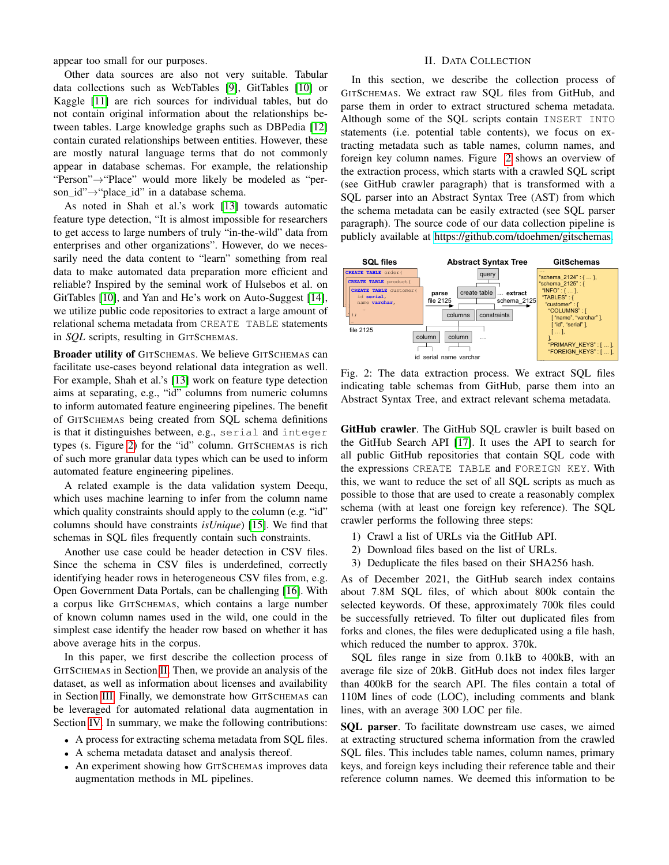appear too small for our purposes.

Other data sources are also not very suitable. Tabular data collections such as WebTables [\[9\]](#page-4-8), GitTables [\[10\]](#page-4-9) or Kaggle [\[11\]](#page-4-10) are rich sources for individual tables, but do not contain original information about the relationships between tables. Large knowledge graphs such as DBPedia [\[12\]](#page-4-11) contain curated relationships between entities. However, these are mostly natural language terms that do not commonly appear in database schemas. For example, the relationship "Person"→"Place" would more likely be modeled as "person id"→"place id" in a database schema.

As noted in Shah et al.'s work [\[13\]](#page-4-12) towards automatic feature type detection, "It is almost impossible for researchers to get access to large numbers of truly "in-the-wild" data from enterprises and other organizations". However, do we necessarily need the data content to "learn" something from real data to make automated data preparation more efficient and reliable? Inspired by the seminal work of Hulsebos et al. on GitTables [\[10\]](#page-4-9), and Yan and He's work on Auto-Suggest [\[14\]](#page-4-13), we utilize public code repositories to extract a large amount of relational schema metadata from CREATE TABLE statements in *SQL* scripts, resulting in GITSCHEMAS.

Broader utility of GITSCHEMAS. We believe GITSCHEMAS can facilitate use-cases beyond relational data integration as well. For example, Shah et al.'s [\[13\]](#page-4-12) work on feature type detection aims at separating, e.g., "id" columns from numeric columns to inform automated feature engineering pipelines. The benefit of GITSCHEMAS being created from SQL schema definitions is that it distinguishes between, e.g., serial and integer types (s. Figure [2\)](#page-1-0) for the "id" column. GITSCHEMAS is rich of such more granular data types which can be used to inform automated feature engineering pipelines.

A related example is the data validation system Deequ, which uses machine learning to infer from the column name which quality constraints should apply to the column (e.g. "id" columns should have constraints *isUnique*) [\[15\]](#page-4-14). We find that schemas in SQL files frequently contain such constraints.

Another use case could be header detection in CSV files. Since the schema in CSV files is underdefined, correctly identifying header rows in heterogeneous CSV files from, e.g. Open Government Data Portals, can be challenging [\[16\]](#page-4-15). With a corpus like GITSCHEMAS, which contains a large number of known column names used in the wild, one could in the simplest case identify the header row based on whether it has above average hits in the corpus.

In this paper, we first describe the collection process of GITSCHEMAS in Section [II.](#page-1-1) Then, we provide an analysis of the dataset, as well as information about licenses and availability in Section [III.](#page-2-0) Finally, we demonstrate how GITSCHEMAS can be leveraged for automated relational data augmentation in Section [IV.](#page-3-0) In summary, we make the following contributions:

- A process for extracting schema metadata from SQL files.
- A schema metadata dataset and analysis thereof.
- An experiment showing how GITSCHEMAS improves data augmentation methods in ML pipelines.

# II. DATA COLLECTION

<span id="page-1-1"></span>In this section, we describe the collection process of GITSCHEMAS. We extract raw SQL files from GitHub, and parse them in order to extract structured schema metadata. Although some of the SQL scripts contain INSERT INTO statements (i.e. potential table contents), we focus on extracting metadata such as table names, column names, and foreign key column names. Figure [2](#page-1-0) shows an overview of the extraction process, which starts with a crawled SQL script (see GitHub crawler paragraph) that is transformed with a SQL parser into an Abstract Syntax Tree (AST) from which the schema metadata can be easily extracted (see SQL parser paragraph). The source code of our data collection pipeline is publicly available at [https://github.com/tdoehmen/gitschemas.](https://github.com/tdoehmen/gitschemas)

<span id="page-1-0"></span>

Fig. 2: The data extraction process. We extract SQL files indicating table schemas from GitHub, parse them into an Abstract Syntax Tree, and extract relevant schema metadata.

GitHub crawler. The GitHub SQL crawler is built based on the GitHub Search API [\[17\]](#page-4-16). It uses the API to search for all public GitHub repositories that contain SQL code with the expressions CREATE TABLE and FOREIGN KEY. With this, we want to reduce the set of all SQL scripts as much as possible to those that are used to create a reasonably complex schema (with at least one foreign key reference). The SQL crawler performs the following three steps:

- 1) Crawl a list of URLs via the GitHub API.
- 2) Download files based on the list of URLs.
- 3) Deduplicate the files based on their SHA256 hash.

As of December 2021, the GitHub search index contains about 7.8M SQL files, of which about 800k contain the selected keywords. Of these, approximately 700k files could be successfully retrieved. To filter out duplicated files from forks and clones, the files were deduplicated using a file hash, which reduced the number to approx. 370k.

SQL files range in size from 0.1kB to 400kB, with an average file size of 20kB. GitHub does not index files larger than 400kB for the search API. The files contain a total of 110M lines of code (LOC), including comments and blank lines, with an average 300 LOC per file.

SQL parser. To facilitate downstream use cases, we aimed at extracting structured schema information from the crawled SQL files. This includes table names, column names, primary keys, and foreign keys including their reference table and their reference column names. We deemed this information to be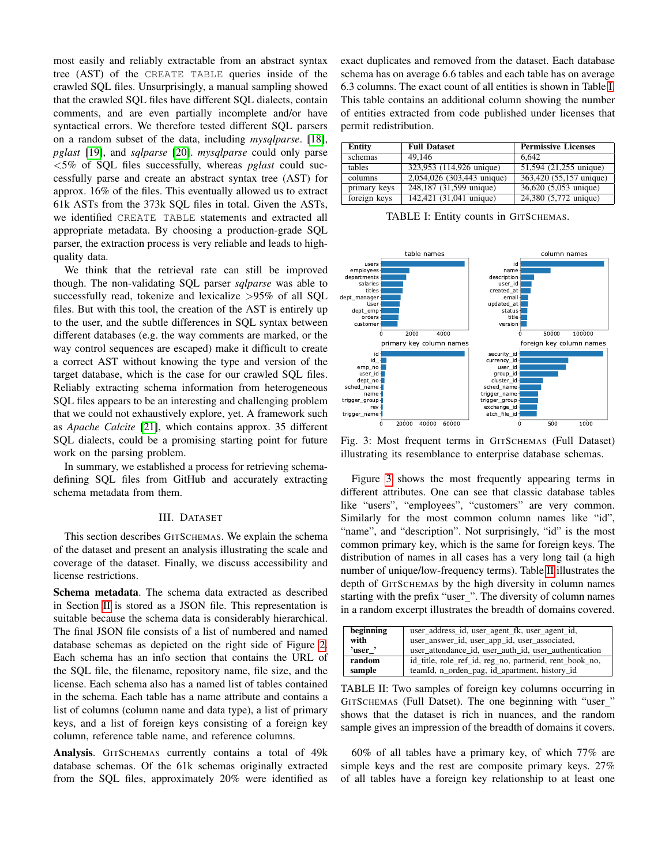most easily and reliably extractable from an abstract syntax tree (AST) of the CREATE TABLE queries inside of the crawled SQL files. Unsurprisingly, a manual sampling showed that the crawled SQL files have different SQL dialects, contain comments, and are even partially incomplete and/or have syntactical errors. We therefore tested different SQL parsers on a random subset of the data, including *mysqlparse*. [\[18\]](#page-4-17), *pglast* [\[19\]](#page-4-18), and *sqlparse* [\[20\]](#page-4-19). *mysqlparse* could only parse <5% of SQL files successfully, whereas *pglast* could successfully parse and create an abstract syntax tree (AST) for approx. 16% of the files. This eventually allowed us to extract 61k ASTs from the 373k SQL files in total. Given the ASTs, we identified CREATE TABLE statements and extracted all appropriate metadata. By choosing a production-grade SQL parser, the extraction process is very reliable and leads to highquality data.

We think that the retrieval rate can still be improved though. The non-validating SQL parser *sqlparse* was able to successfully read, tokenize and lexicalize >95% of all SQL files. But with this tool, the creation of the AST is entirely up to the user, and the subtle differences in SQL syntax between different databases (e.g. the way comments are marked, or the way control sequences are escaped) make it difficult to create a correct AST without knowing the type and version of the target database, which is the case for our crawled SQL files. Reliably extracting schema information from heterogeneous SQL files appears to be an interesting and challenging problem that we could not exhaustively explore, yet. A framework such as *Apache Calcite* [\[21\]](#page-4-20), which contains approx. 35 different SQL dialects, could be a promising starting point for future work on the parsing problem.

In summary, we established a process for retrieving schemadefining SQL files from GitHub and accurately extracting schema metadata from them.

# III. DATASET

<span id="page-2-0"></span>This section describes GITSCHEMAS. We explain the schema of the dataset and present an analysis illustrating the scale and coverage of the dataset. Finally, we discuss accessibility and license restrictions.

Schema metadata. The schema data extracted as described in Section [II](#page-1-1) is stored as a JSON file. This representation is suitable because the schema data is considerably hierarchical. The final JSON file consists of a list of numbered and named database schemas as depicted on the right side of Figure [2.](#page-1-0) Each schema has an info section that contains the URL of the SQL file, the filename, repository name, file size, and the license. Each schema also has a named list of tables contained in the schema. Each table has a name attribute and contains a list of columns (column name and data type), a list of primary keys, and a list of foreign keys consisting of a foreign key column, reference table name, and reference columns.

Analysis. GITSCHEMAS currently contains a total of 49k database schemas. Of the 61k schemas originally extracted from the SQL files, approximately 20% were identified as exact duplicates and removed from the dataset. Each database schema has on average 6.6 tables and each table has on average 6.3 columns. The exact count of all entities is shown in Table [I.](#page-2-1) This table contains an additional column showing the number of entities extracted from code published under licenses that permit redistribution.

<span id="page-2-1"></span>

| Entity       | <b>Full Dataset</b>        | <b>Permissive Licenses</b> |
|--------------|----------------------------|----------------------------|
| schemas      | 49.146                     | 6.642                      |
| tables       | 323,953 (114,926 unique)   | 51,594 (21,255 unique)     |
| columns      | 2,054,026 (303,443 unique) | 363,420 (55,157 unique)    |
| primary keys | 248,187 (31,599 unique)    | 36,620 (5,053 unique)      |
| foreign keys | 142,421 (31,041 unique)    | 24,380 (5,772 unique)      |

TABLE I: Entity counts in GITSCHEMAS.

<span id="page-2-2"></span>

Fig. 3: Most frequent terms in GITSCHEMAS (Full Dataset) illustrating its resemblance to enterprise database schemas.

Figure [3](#page-2-2) shows the most frequently appearing terms in different attributes. One can see that classic database tables like "users", "employees", "customers" are very common. Similarly for the most common column names like "id", "name", and "description". Not surprisingly, "id" is the most common primary key, which is the same for foreign keys. The distribution of names in all cases has a very long tail (a high number of unique/low-frequency terms). Table [II](#page-2-3) illustrates the depth of GITSCHEMAS by the high diversity in column names starting with the prefix "user\_". The diversity of column names in a random excerpt illustrates the breadth of domains covered.

<span id="page-2-3"></span>

| beginning | user address id, user agent fk, user agent id,          |  |
|-----------|---------------------------------------------------------|--|
| with      | user_answer_id, user_app_id, user_associated,           |  |
| 'user'    | user attendance id, user auth id, user authentication   |  |
| random    | id title, role ref id, reg no, partnerid, rent book no, |  |
| sample    | teamId, n_orden_pag, id_apartment, history_id           |  |

TABLE II: Two samples of foreign key columns occurring in GITSCHEMAS (Full Datset). The one beginning with "user\_" shows that the dataset is rich in nuances, and the random sample gives an impression of the breadth of domains it covers.

60% of all tables have a primary key, of which 77% are simple keys and the rest are composite primary keys. 27% of all tables have a foreign key relationship to at least one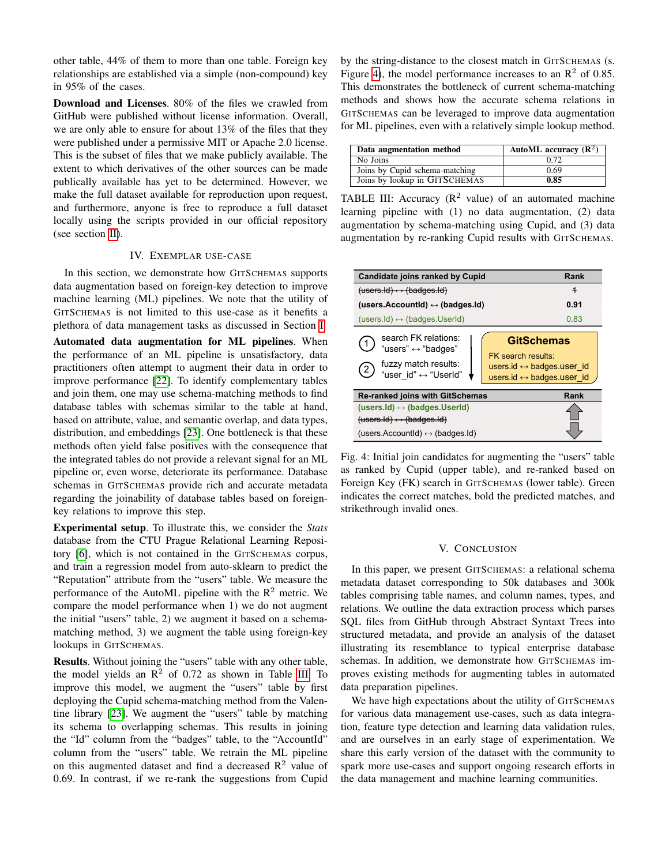other table, 44% of them to more than one table. Foreign key relationships are established via a simple (non-compound) key in 95% of the cases.

Download and Licenses. 80% of the files we crawled from GitHub were published without license information. Overall, we are only able to ensure for about 13% of the files that they were published under a permissive MIT or Apache 2.0 license. This is the subset of files that we make publicly available. The extent to which derivatives of the other sources can be made publically available has yet to be determined. However, we make the full dataset available for reproduction upon request, and furthermore, anyone is free to reproduce a full dataset locally using the scripts provided in our official repository (see section [II\)](#page-1-1).

### IV. EXEMPLAR USE-CASE

<span id="page-3-0"></span>In this section, we demonstrate how GITSCHEMAS supports data augmentation based on foreign-key detection to improve machine learning (ML) pipelines. We note that the utility of GITSCHEMAS is not limited to this use-case as it benefits a plethora of data management tasks as discussed in Section [I.](#page-0-1)

Automated data augmentation for ML pipelines. When the performance of an ML pipeline is unsatisfactory, data practitioners often attempt to augment their data in order to improve performance [\[22\]](#page-4-21). To identify complementary tables and join them, one may use schema-matching methods to find database tables with schemas similar to the table at hand, based on attribute, value, and semantic overlap, and data types, distribution, and embeddings [\[23\]](#page-4-22). One bottleneck is that these methods often yield false positives with the consequence that the integrated tables do not provide a relevant signal for an ML pipeline or, even worse, deteriorate its performance. Database schemas in GITSCHEMAS provide rich and accurate metadata regarding the joinability of database tables based on foreignkey relations to improve this step.

Experimental setup. To illustrate this, we consider the *Stats* database from the CTU Prague Relational Learning Repository [\[6\]](#page-4-5), which is not contained in the GITSCHEMAS corpus, and train a regression model from auto-sklearn to predict the "Reputation" attribute from the "users" table. We measure the performance of the AutoML pipeline with the  $R<sup>2</sup>$  metric. We compare the model performance when 1) we do not augment the initial "users" table, 2) we augment it based on a schemamatching method, 3) we augment the table using foreign-key lookups in GITSCHEMAS.

Results. Without joining the "users" table with any other table, the model yields an  $\mathbb{R}^2$  of 0.72 as shown in Table [III.](#page-3-1) To improve this model, we augment the "users" table by first deploying the Cupid schema-matching method from the Valentine library [\[23\]](#page-4-22). We augment the "users" table by matching its schema to overlapping schemas. This results in joining the "Id" column from the "badges" table, to the "AccountId" column from the "users" table. We retrain the ML pipeline on this augmented dataset and find a decreased  $\mathbb{R}^2$  value of 0.69. In contrast, if we re-rank the suggestions from Cupid

by the string-distance to the closest match in GITSCHEMAS (s. Figure [4\)](#page-3-2), the model performance increases to an  $\mathbb{R}^2$  of 0.85. This demonstrates the bottleneck of current schema-matching methods and shows how the accurate schema relations in GITSCHEMAS can be leveraged to improve data augmentation for ML pipelines, even with a relatively simple lookup method.

<span id="page-3-1"></span>

| Data augmentation method       | AutoML accuracy $(\mathbb{R}^2)$ |
|--------------------------------|----------------------------------|
| No Joins                       | 0.72                             |
| Joins by Cupid schema-matching | 0.69                             |
| Joins by lookup in GITSCHEMAS  | 0.85                             |

TABLE III: Accuracy  $(R^2 \text{ value})$  of an automated machine learning pipeline with (1) no data augmentation, (2) data augmentation by schema-matching using Cupid, and (3) data augmentation by re-ranking Cupid results with GITSCHEMAS.

<span id="page-3-2"></span>

| Candidate joins ranked by Cupid                                                                                 | Rank                                                                                                                              |
|-----------------------------------------------------------------------------------------------------------------|-----------------------------------------------------------------------------------------------------------------------------------|
| $(\text{users}.Id) \leftrightarrow (\text{badges}.Id)$                                                          | $\overline{1}$                                                                                                                    |
| (users.Accountid) $\leftrightarrow$ (badges.id)                                                                 | 0.91                                                                                                                              |
| $(\text{users}.Id) \leftrightarrow (\text{badges}.UserId)$                                                      | 0.83                                                                                                                              |
| search FK relations:<br>"users" ↔ "badges"<br>fuzzy match results:<br>$\left( 2\right)$<br>"user_id" ↔ "UserId" | <b>GitSchemas</b><br>FK search results:<br>users.id $\leftrightarrow$ badges.user id<br>users.id $\leftrightarrow$ badges.user id |
| <b>Re-ranked joins with GitSchemas</b>                                                                          | Rank                                                                                                                              |
| (users.Id) $\leftrightarrow$ (badges.UserId)                                                                    |                                                                                                                                   |
| $(users.d) \leftrightarrow (badges.d)$                                                                          |                                                                                                                                   |
| (users.Accountid) $\leftrightarrow$ (badges.Id)                                                                 |                                                                                                                                   |

Fig. 4: Initial join candidates for augmenting the "users" table as ranked by Cupid (upper table), and re-ranked based on Foreign Key (FK) search in GITSCHEMAS (lower table). Green indicates the correct matches, bold the predicted matches, and strikethrough invalid ones.

#### V. CONCLUSION

In this paper, we present GITSCHEMAS: a relational schema metadata dataset corresponding to 50k databases and 300k tables comprising table names, and column names, types, and relations. We outline the data extraction process which parses SQL files from GitHub through Abstract Syntaxt Trees into structured metadata, and provide an analysis of the dataset illustrating its resemblance to typical enterprise database schemas. In addition, we demonstrate how GITSCHEMAS improves existing methods for augmenting tables in automated data preparation pipelines.

We have high expectations about the utility of GITSCHEMAS for various data management use-cases, such as data integration, feature type detection and learning data validation rules, and are ourselves in an early stage of experimentation. We share this early version of the dataset with the community to spark more use-cases and support ongoing research efforts in the data management and machine learning communities.